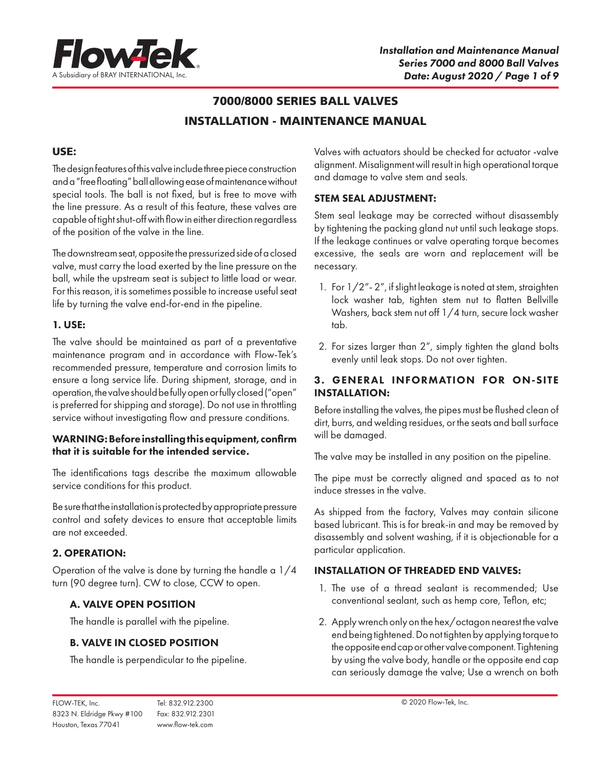

# 7000/8000 SERIES BALL VALVES INSTALLATION - MAINTENANCE MANUAL

### USE:

The design features of this valve include three piece construction and a "free floating" ball allowing ease of maintenance without special tools. The ball is not fixed, but is free to move with the line pressure. As a result of this feature, these valves are capable of tight shut-off with flow in either direction regardless of the position of the valve in the line.

The downstream seat, opposite the pressurized side of a closed valve, must carry the load exerted by the line pressure on the ball, while the upstream seat is subject to little load or wear. For this reason, it is sometimes possible to increase useful seat life by turning the valve end-for-end in the pipeline.

### 1. USE:

The valve should be maintained as part of a preventative maintenance program and in accordance with Flow-Tek's recommended pressure, temperature and corrosion limits to ensure a long service life. During shipment, storage, and in operation, the valve should be fully open or fully closed ("open" is preferred for shipping and storage). Do not use in throttling service without investigating flow and pressure conditions.

### WARNING: Before installing this equipment, confirm that it is suitable for the intended service.

The identifications tags describe the maximum allowable service conditions for this product.

Be sure that the installation is protected by appropriate pressure control and safety devices to ensure that acceptable limits are not exceeded.

# 2. OPERATION:

Operation of the valve is done by turning the handle a 1/4 turn (90 degree turn). CW to close, CCW to open.

# A. VALVE OPEN POSITlON

The handle is parallel with the pipeline.

# B. VALVE IN CLOSED POSITION

The handle is perpendicular to the pipeline.

Valves with actuators should be checked for actuator -valve alignment. Misalignment will result in high operational torque and damage to valve stem and seals.

### STEM SEAL ADJUSTMENT:

Stem seal leakage may be corrected without disassembly by tightening the packing gland nut until such leakage stops. If the leakage continues or valve operating torque becomes excessive, the seals are worn and replacement will be necessary.

- 1. For 1/2"- 2", if slight leakage is noted at stem, straighten lock washer tab, tighten stem nut to flatten Bellville Washers, back stem nut off 1/4 turn, secure lock washer tab.
- 2. For sizes larger than 2", simply tighten the gland bolts evenly until leak stops. Do not over tighten.

# 3. GENERAL INFORMATION FOR ON-SITE INSTALLATION:

Before installing the valves, the pipes must be flushed clean of dirt, burrs, and welding residues, or the seats and ball surface will be damaged.

The valve may be installed in any position on the pipeline.

The pipe must be correctly aligned and spaced as to not induce stresses in the valve.

As shipped from the factory, Valves may contain silicone based lubricant. This is for break-in and may be removed by disassembly and solvent washing, if it is objectionable for a particular application.

# INSTALLATION OF THREADED END VALVES:

- 1. The use of a thread sealant is recommended; Use conventional sealant, such as hemp core, Teflon, etc;
- 2. Apply wrench only on the hex/octagon nearest the valve end being tightened. Do not tighten by applying torque to the opposite end cap or other valve component. Tightening by using the valve body, handle or the opposite end cap can seriously damage the valve; Use a wrench on both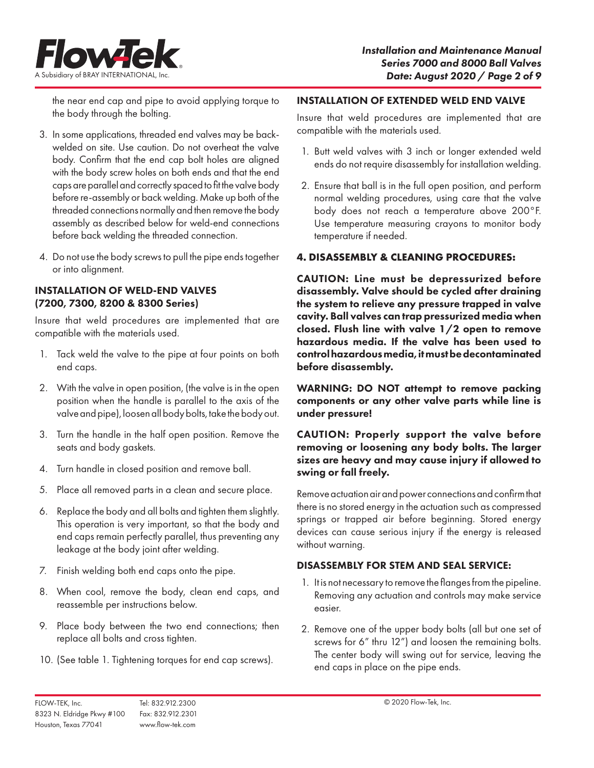

the near end cap and pipe to avoid applying torque to the body through the bolting.

- 3. In some applications, threaded end valves may be backwelded on site. Use caution. Do not overheat the valve body. Confirm that the end cap bolt holes are aligned with the body screw holes on both ends and that the end caps are parallel and correctly spaced to fit the valve body before re-assembly or back welding. Make up both of the threaded connections normally and then remove the body assembly as described below for weld-end connections before back welding the threaded connection.
- 4. Do not use the body screws to pull the pipe ends together or into alignment.

### INSTALLATION OF WELD-END VALVES (7200, 7300, 8200 & 8300 Series)

Insure that weld procedures are implemented that are compatible with the materials used.

- 1. Tack weld the valve to the pipe at four points on both end caps.
- 2. With the valve in open position, (the valve is in the open position when the handle is parallel to the axis of the valve and pipe), loosen all body bolts, take the body out.
- 3. Turn the handle in the half open position. Remove the seats and body gaskets.
- 4. Turn handle in closed position and remove ball.
- 5. Place all removed parts in a clean and secure place.
- 6. Replace the body and all bolts and tighten them slightly. This operation is very important, so that the body and end caps remain perfectly parallel, thus preventing any leakage at the body joint after welding.
- 7. Finish welding both end caps onto the pipe.
- 8. When cool, remove the body, clean end caps, and reassemble per instructions below.
- 9. Place body between the two end connections; then replace all bolts and cross tighten.
- 10. (See table 1. Tightening torques for end cap screws).

### INSTALLATION OF EXTENDED WELD END VALVE

Insure that weld procedures are implemented that are compatible with the materials used.

- 1. Butt weld valves with 3 inch or longer extended weld ends do not require disassembly for installation welding.
- 2. Ensure that ball is in the full open position, and perform normal welding procedures, using care that the valve body does not reach a temperature above 200°F. Use temperature measuring crayons to monitor body temperature if needed.

# **4. DISASSEMBLY & CLEANING PROCEDURES:**

CAUTION: Line must be depressurized before disassembly. Valve should be cycled after draining the system to relieve any pressure trapped in valve cavity. Ball valves can trap pressurized media when closed. Flush line with valve 1/2 open to remove hazardous media. If the valve has been used to control hazardous media, it must be decontaminated before disassembly.

WARNING: DO NOT attempt to remove packing components or any other valve parts while line is under pressure!

# CAUTION: Properly support the valve before removing or loosening any body bolts. The larger sizes are heavy and may cause injury if allowed to swing or fall freely.

Remove actuation air and power connections and confirm that there is no stored energy in the actuation such as compressed springs or trapped air before beginning. Stored energy devices can cause serious injury if the energy is released without warning.

# DISASSEMBLY FOR STEM AND SEAL SERVICE:

- 1. It is not necessary to remove the flanges from the pipeline. Removing any actuation and controls may make service easier.
- 2. Remove one of the upper body bolts (all but one set of screws for 6" thru 12") and loosen the remaining bolts. The center body will swing out for service, leaving the end caps in place on the pipe ends.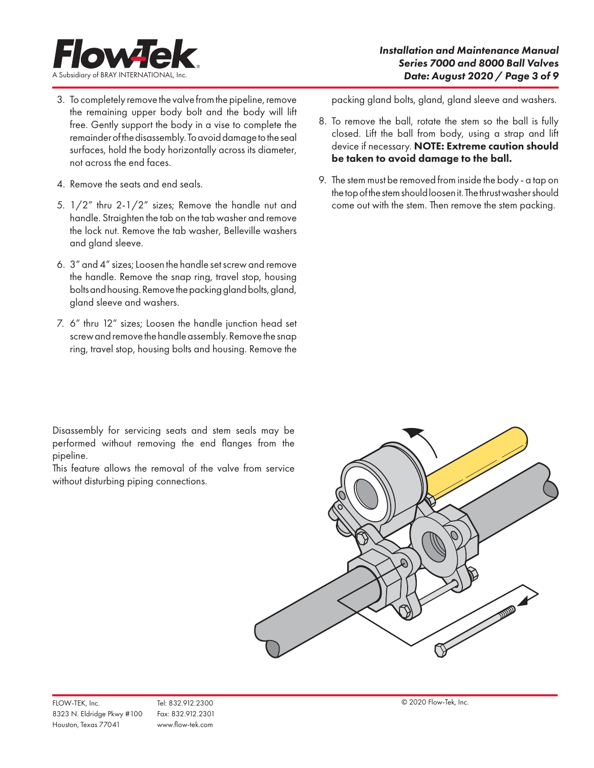

- 3. To completely remove the valve from the pipeline, remove the remaining upper body bolt and the body will lift free. Gently support the body in a vise to complete the remainder of the disassembly. To avoid damage to the seal surfaces, hold the body horizontally across its diameter, not across the end faces.
- 4. Remove the seats and end seals.
- 5. 1/2" thru 2-1/2" sizes; Remove the handle nut and handle. Straighten the tab on the tab washer and remove the lock nut. Remove the tab washer, Belleville washers and gland sleeve.
- 6. 3" and 4" sizes; Loosen the handle set screw and remove the handle. Remove the snap ring, travel stop, housing bolts and housing. Remove the packing gland bolts, gland, gland sleeve and washers.
- 7. 6" thru 12" sizes; Loosen the handle junction head set screw and remove the handle assembly. Remove the snap ring, travel stop, housing bolts and housing. Remove the

Disassembly for servicing seats and stem seals may be performed without removing the end flanges from the pipeline.

This feature allows the removal of the valve from service without disturbing piping connections.

packing gland bolts, gland, gland sleeve and washers.

- 8. To remove the ball, rotate the stem so the ball is fully closed. Lift the ball from body, using a strap and lift device if necessary. NOTE: Extreme caution should be taken to avoid damage to the ball.
- 9. The stem must be removed from inside the body a tap on the top of the stem should loosen it. The thrust washer should come out with the stem. Then remove the stem packing.

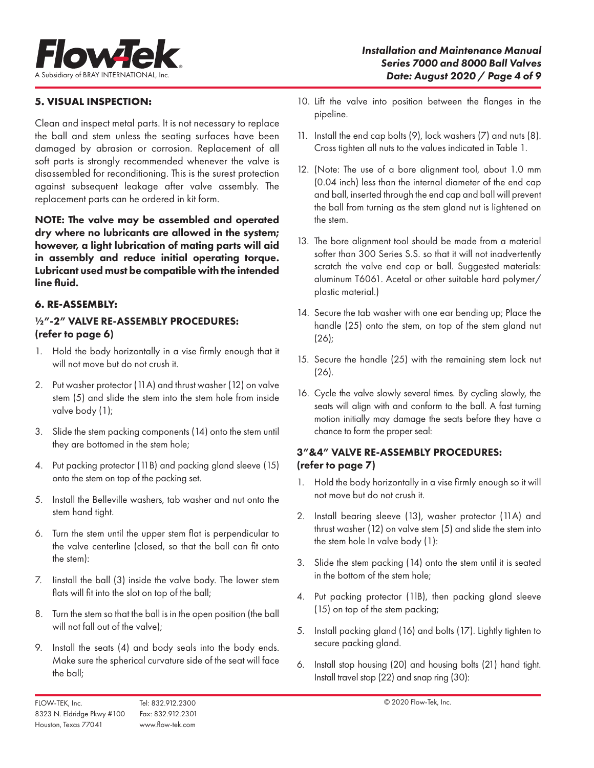

# **5. VISUAL INSPECTION:**

Clean and inspect metal parts. It is not necessary to replace the ball and stem unless the seating surfaces have been damaged by abrasion or corrosion. Replacement of all soft parts is strongly recommended whenever the valve is disassembled for reconditioning. This is the surest protection against subsequent leakage after valve assembly. The replacement parts can he ordered in kit form.

NOTE: The valve may be assembled and operated dry where no lubricants are allowed in the system; however, a light lubrication of mating parts will aid in assembly and reduce initial operating torque. Lubricant used must be compatible with the intended line fluid.

### **6. RE-ASSEMBLY:**

# ½"-2" VALVE RE-ASSEMBLY PROCEDURES: (refer to page 6)

- 1. Hold the body horizontally in a vise firmly enough that it will not move but do not crush it.
- 2. Put washer protector (11A) and thrust washer (12) on valve stem (5) and slide the stem into the stem hole from inside valve body (1);
- 3. Slide the stem packing components (14) onto the stem until they are bottomed in the stem hole;
- 4. Put packing protector (11B) and packing gland sleeve (15) onto the stem on top of the packing set.
- 5. Install the Belleville washers, tab washer and nut onto the stem hand tight.
- 6. Turn the stem until the upper stem flat is perpendicular to the valve centerline (closed, so that the ball can fit onto the stem):
- 7. Iinstall the ball (3) inside the valve body. The lower stem flats will fit into the slot on top of the ball;
- 8. Turn the stem so that the ball is in the open position (the ball will not fall out of the valve);
- 9. Install the seats (4) and body seals into the body ends. Make sure the spherical curvature side of the seat will face the ball;
- 10. Lift the valve into position between the flanges in the pipeline.
- 11. Install the end cap bolts (9), lock washers (7) and nuts (8). Cross tighten all nuts to the values indicated in Table 1.
- 12. (Note: The use of a bore alignment tool, about 1.0 mm (0.04 inch) less than the internal diameter of the end cap and ball, inserted through the end cap and ball will prevent the ball from turning as the stem gland nut is lightened on the stem.
- 13. The bore alignment tool should be made from a material softer than 300 Series S.S. so that it will not inadvertently scratch the valve end cap or ball. Suggested materials: aluminum T6061. Acetal or other suitable hard polymer/ plastic material.)
- 14. Secure the tab washer with one ear bending up; Place the handle (25) onto the stem, on top of the stem gland nut (26);
- 15. Secure the handle (25) with the remaining stem lock nut (26).
- 16. Cycle the valve slowly several times. By cycling slowly, the seats will align with and conform to the ball. A fast turning motion initially may damage the seats before they have a chance to form the proper seal:

### 3"&4" VALVE RE-ASSEMBLY PROCEDURES: (refer to page 7)

- 1. Hold the body horizontally in a vise firmly enough so it will not move but do not crush it.
- 2. Install bearing sleeve (13), washer protector (11A) and thrust washer (12) on valve stem (5) and slide the stem into the stem hole In valve body (1):
- 3. Slide the stem packing (14) onto the stem until it is seated in the bottom of the stem hole;
- 4. Put packing protector (1lB), then packing gland sleeve (15) on top of the stem packing;
- 5. Install packing gland (16) and bolts (17). Lightly tighten to secure packing gland.
- 6. Install stop housing (20) and housing bolts (21) hand tight. Install travel stop (22) and snap ring (30):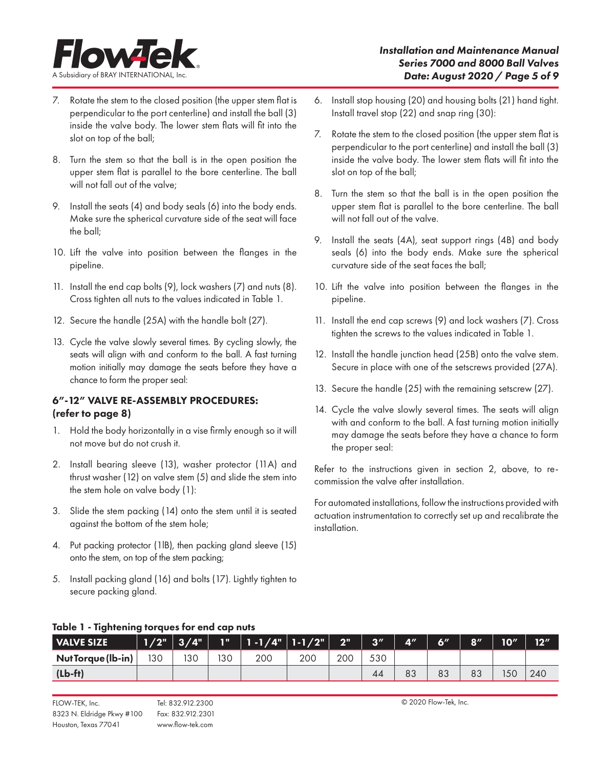

- 7. Rotate the stem to the closed position (the upper stem flat is perpendicular to the port centerline) and install the ball (3) inside the valve body. The lower stem flats will fit into the slot on top of the ball;
- 8. Turn the stem so that the ball is in the open position the upper stem flat is parallel to the bore centerline. The ball will not fall out of the valve;
- 9. Install the seats (4) and body seals (6) into the body ends. Make sure the spherical curvature side of the seat will face the ball;
- 10. Lift the valve into position between the flanges in the pipeline.
- 11. Install the end cap bolts (9), lock washers (7) and nuts (8). Cross tighten all nuts to the values indicated in Table 1.
- 12. Secure the handle (25A) with the handle bolt (27).
- 13. Cycle the valve slowly several times. By cycling slowly, the seats will align with and conform to the ball. A fast turning motion initially may damage the seats before they have a chance to form the proper seal:

# 6"-12" VALVE RE-ASSEMBLY PROCEDURES: (refer to page 8)

- 1. Hold the body horizontally in a vise firmly enough so it will not move but do not crush it.
- 2. Install bearing sleeve (13), washer protector (11A) and thrust washer (12) on valve stem (5) and slide the stem into the stem hole on valve body (1):
- 3. Slide the stem packing (14) onto the stem until it is seated against the bottom of the stem hole;
- 4. Put packing protector (1lB), then packing gland sleeve (15) onto the stem, on top of the stem packing;
- 5. Install packing gland (16) and bolts (17). Lightly tighten to secure packing gland.
- 6. Install stop housing (20) and housing bolts (21) hand tight. Install travel stop (22) and snap ring (30):
- 7. Rotate the stem to the closed position (the upper stem flat is perpendicular to the port centerline) and install the ball (3) inside the valve body. The lower stem flats will fit into the slot on top of the ball;
- 8. Turn the stem so that the ball is in the open position the upper stem flat is parallel to the bore centerline. The ball will not fall out of the valve.
- 9. Install the seats (4A), seat support rings (4B) and body seals (6) into the body ends. Make sure the spherical curvature side of the seat faces the ball;
- 10. Lift the valve into position between the flanges in the pipeline.
- 11. Install the end cap screws (9) and lock washers (7). Cross tighten the screws to the values indicated in Table 1.
- 12. Install the handle junction head (25B) onto the valve stem. Secure in place with one of the setscrews provided (27A).
- 13. Secure the handle (25) with the remaining setscrew (27).
- 14. Cycle the valve slowly several times. The seats will align with and conform to the ball. A fast turning motion initially may damage the seats before they have a chance to form the proper seal:

Refer to the instructions given in section 2, above, to recommission the valve after installation.

For automated installations, follow the instructions provided with actuation instrumentation to correctly set up and recalibrate the installation.

| <b>VALVE SIZE</b>  |     | $1/2"$ 3/4" | <b>TILL</b> |     |     | $20^{\circ}$ | $\sqrt{a}$ | $A^{\prime\prime}$ | <b>6″</b> | 8'' | 10 <sup>''</sup> | 12 <sup>''</sup> |
|--------------------|-----|-------------|-------------|-----|-----|--------------|------------|--------------------|-----------|-----|------------------|------------------|
| Nut Torque (lb-in) | 130 | 30          | 130         | 200 | 200 | 200          | 530        |                    |           |     |                  |                  |
| $(Lb-ft)$          |     |             |             |     |     |              | 44         | 83                 | 83        | 83  | 150              | 240              |

# Table 1 - Tightening torques for end cap nuts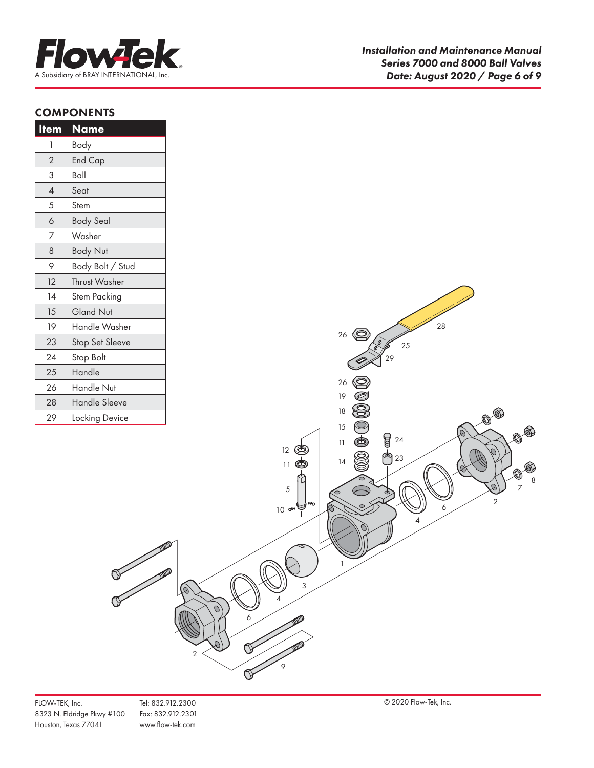

# **COMPONENTS**

| <u>Item</u>    | <u>Name</u>            |
|----------------|------------------------|
| 1              | Body                   |
| $\overline{2}$ | <b>End Cap</b>         |
| 3              | Ball                   |
| $\overline{A}$ | Seat                   |
| 5              | Stem                   |
| $\delta$       | <b>Body Seal</b>       |
| $\overline{7}$ | Washer                 |
| 8              | <b>Body Nut</b>        |
| 9              | Body Bolt / Stud       |
| 12             | <b>Thrust Washer</b>   |
| 14             | Stem Packing           |
| 15             | <b>Gland Nut</b>       |
| 19             | Handle Washer          |
| 23             | <b>Stop Set Sleeve</b> |
| 24             | Stop Bolt              |
| 25             | Handle                 |
| 26             | Handle Nut             |
| 28             | <b>Handle Sleeve</b>   |
| 29             | Locking Device         |

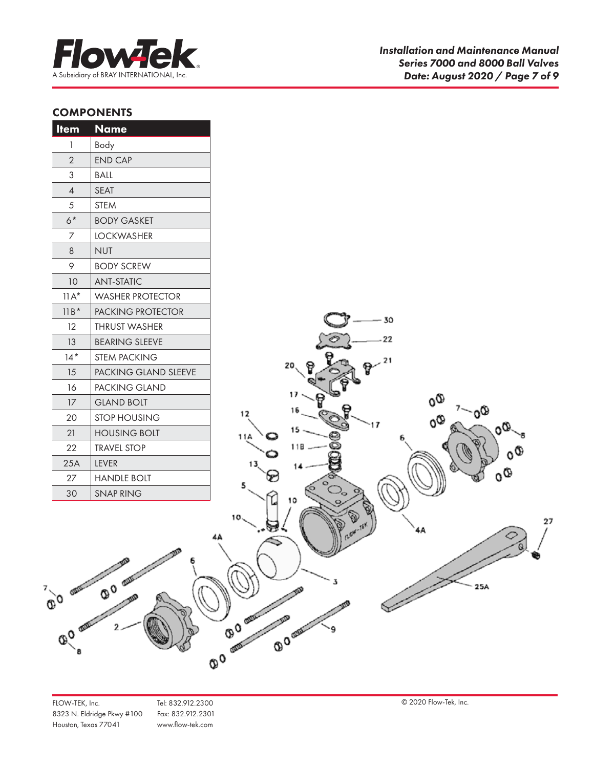

# **COMPONENTS**

| <u>Item</u>              | <b>Name</b>                 |
|--------------------------|-----------------------------|
| 1                        | Body                        |
| $\overline{2}$           | <b>END CAP</b>              |
| 3                        | BALL                        |
| $\overline{\mathcal{A}}$ | <b>SEAT</b>                 |
| 5                        | <b>STEM</b>                 |
| $6*$                     | <b>BODY GASKET</b>          |
| 7                        | LOCKWASHER                  |
| 8                        | <b>NUT</b>                  |
| 9                        | <b>BODY SCREW</b>           |
| 10                       | <b>ANT-STATIC</b>           |
| $11A^*$                  | <b>WASHER PROTECTOR</b>     |
| $11B*$                   | <b>PACKING PROTECTOR</b>    |
| 12                       | <b>THRUST WASHER</b>        |
| 13                       | <b>BEARING SLEEVE</b>       |
| $14*$                    | <b>STEM PACKING</b>         |
| 15                       | <b>PACKING GLAND SLEEVE</b> |
| 16                       | PACKING GLAND               |
| 17                       | <b>GLAND BOLT</b>           |
| 20                       | <b>STOP HOUSING</b>         |
| 21                       | <b>HOUSING BOLT</b>         |
| 22                       | <b>TRAVEL STOP</b>          |
| 25A                      | <b>LEVER</b>                |
| 27                       | <b>HANDLE BOLT</b>          |
| 30                       | <b>SNAP RING</b>            |



 $\frac{1}{0}$  o  $\frac{1}{0}$  o  $\frac{1}{0}$  o  $\frac{1}{0}$ 

**QO OFFERE**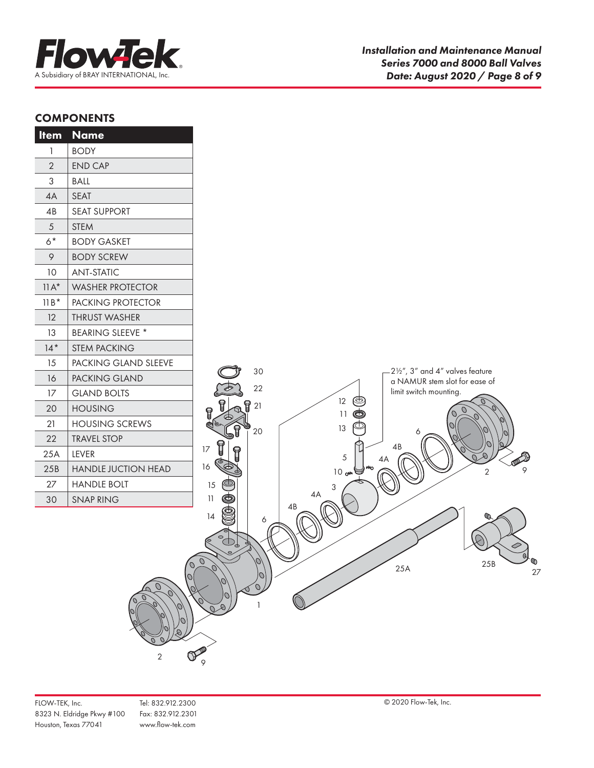

# **COMPONENTS**

| <b>Item</b>  | <b>Name</b>             |                                                                                    |
|--------------|-------------------------|------------------------------------------------------------------------------------|
| $\mathbf{1}$ | <b>BODY</b>             |                                                                                    |
| $\sqrt{2}$   | <b>END CAP</b>          |                                                                                    |
| $\sqrt{3}$   | <b>BALL</b>             |                                                                                    |
| 4A           | SEAT                    |                                                                                    |
| 4B           | <b>SEAT SUPPORT</b>     |                                                                                    |
| $\sqrt{5}$   | <b>STEM</b>             |                                                                                    |
| $6*$         | <b>BODY GASKET</b>      |                                                                                    |
| 9            | <b>BODY SCREW</b>       |                                                                                    |
| 10           | <b>ANT-STATIC</b>       |                                                                                    |
| $11A^*$      | <b>WASHER PROTECTOR</b> |                                                                                    |
| $11B*$       | PACKING PROTECTOR       |                                                                                    |
| 12           | THRUST WASHER           |                                                                                    |
| 13           | <b>BEARING SLEEVE *</b> |                                                                                    |
| $14*$        | STEM PACKING            |                                                                                    |
| 15           | PACKING GLAND SLEEVE    | $-2\frac{1}{2}$ , 3" and 4" valves feature                                         |
| 16           | PACKING GLAND           | 30<br>a NAMUR stem slot for ease of                                                |
| 17           | <b>GLAND BOLTS</b>      | 22<br>limit switch mounting.<br>12<br>ම                                            |
| 20           | <b>HOUSING</b>          | ម្ព 21<br>9<br>11                                                                  |
| 21           | <b>HOUSING SCREWS</b>   | 13<br>20                                                                           |
| 22           | <b>TRAVEL STOP</b>      | 6                                                                                  |
| 25A          | LEVER                   | 4B<br>17<br>5<br>4A                                                                |
| 25B          | HANDLE JUCTION HEAD     | 16<br>9<br>$\overline{2}$<br>$10 \omega$                                           |
| 27           | <b>HANDLE BOLT</b>      | 15<br>3                                                                            |
| 30           | <b>SNAP RING</b>        | 4A<br>11<br>4B                                                                     |
|              | $\overline{\mathbf{c}}$ | 14<br>6<br>$\circledcirc$<br>Q<br>$\sigma$<br>⋒<br>25B<br>25A<br>27<br>O<br>Ο<br>9 |